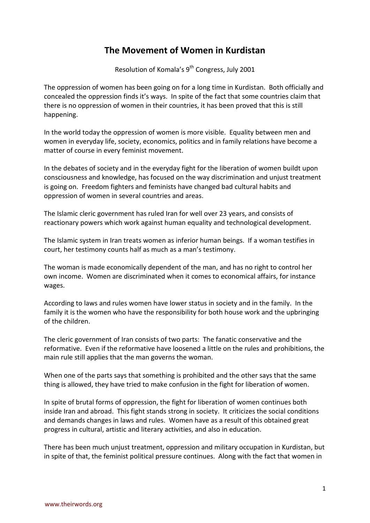## **The Movement of Women in Kurdistan**

Resolution of Komala's 9<sup>th</sup> Congress, July 2001

The oppression of women has been going on for a long time in Kurdistan. Both officially and concealed the oppression finds it's ways. In spite of the fact that some countries claim that there is no oppression of women in their countries, it has been proved that this is still happening.

In the world today the oppression of women is more visible. Equality between men and women in everyday life, society, economics, politics and in family relations have become a matter of course in every feminist movement.

In the debates of society and in the everyday fight for the liberation of women buildt upon consciousness and knowledge, has focused on the way discrimination and unjust treatment is going on. Freedom fighters and feminists have changed bad cultural habits and oppression of women in several countries and areas.

The Islamic cleric government has ruled Iran for well over 23 years, and consists of reactionary powers which work against human equality and technological development.

The Islamic system in Iran treats women as inferior human beings. If a woman testifies in court, her testimony counts half as much as a man's testimony.

The woman is made economically dependent of the man, and has no right to control her own income. Women are discriminated when it comes to economical affairs, for instance wages.

According to laws and rules women have lower status in society and in the family. In the family it is the women who have the responsibility for both house work and the upbringing of the children.

The cleric government of Iran consists of two parts: The fanatic conservative and the reformative. Even if the reformative have loosened a little on the rules and prohibitions, the main rule still applies that the man governs the woman.

When one of the parts says that something is prohibited and the other says that the same thing is allowed, they have tried to make confusion in the fight for liberation of women.

In spite of brutal forms of oppression, the fight for liberation of women continues both inside Iran and abroad. This fight stands strong in society. It criticizes the social conditions and demands changes in laws and rules. Women have as a result of this obtained great progress in cultural, artistic and literary activities, and also in education.

There has been much unjust treatment, oppression and military occupation in Kurdistan, but in spite of that, the feminist political pressure continues. Along with the fact that women in